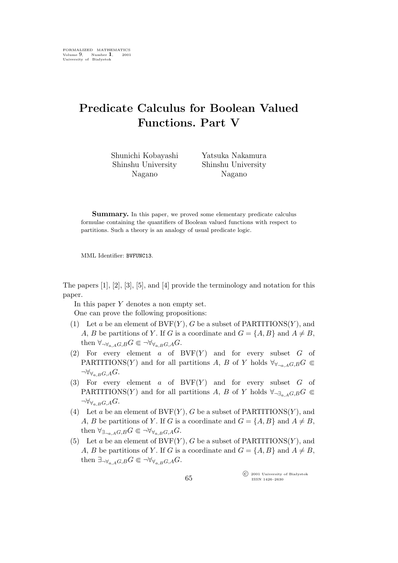## **Predicate Calculus for Boolean Valued Functions. Part V**

Shunichi Kobayashi Shinshu University Nagano

Yatsuka Nakamura Shinshu University Nagano

**Summary.** In this paper, we proved some elementary predicate calculus formulae containing the quantifiers of Boolean valued functions with respect to partitions. Such a theory is an analogy of usual predicate logic.

MML Identifier: BVFUNC13.

The papers [1], [2], [3], [5], and [4] provide the terminology and notation for this paper.

In this paper Y denotes a non empty set. One can prove the following propositions:

- (1) Let a be an element of  $BVF(Y)$ , G be a subset of PARTITIONS $(Y)$ , and A, B be partitions of Y. If G is a coordinate and  $G = \{A, B\}$  and  $A \neq B$ , then  $\forall_{\neg \forall_{a \ldots A} G, B} G \in \neg \forall_{\forall_{a \ldots B} G, A} G$ .
- (2) For every element  $a$  of BVF $(Y)$  and for every subset  $G$  of PARTITIONS(Y) and for all partitions A, B of Y holds  $\forall y_{\neg a, A}G, B$  $\neg \forall_{\forall_{a,B}G,A} G.$
- (3) For every element  $a$  of BVF $(Y)$  and for every subset  $G$  of PARTITIONS(Y) and for all partitions A, B of Y holds  $\forall_{\neg \exists_{\alpha} A} G, B^C \in$  $\neg \forall_{\forall_{a,B}G,A} G.$
- (4) Let a be an element of  $BVF(Y)$ , G be a subset of PARTITIONS(Y), and A, B be partitions of Y. If G is a coordinate and  $G = \{A, B\}$  and  $A \neq B$ , then  $\forall_{\exists_{\neg a,A}G,B}G \in \neg \forall_{\forall_{a,B}G,A}G.$
- (5) Let a be an element of  $BVF(Y)$ , G be a subset of PARTITIONS $(Y)$ , and A, B be partitions of Y. If G is a coordinate and  $G = \{A, B\}$  and  $A \neq B$ , then  $\exists_{\neg \forall_{a,A}G,B}G \subseteq \neg \forall_{\forall_{a,B}G,A}G.$

°c 2001 University of Białystok ISSN 1426–2630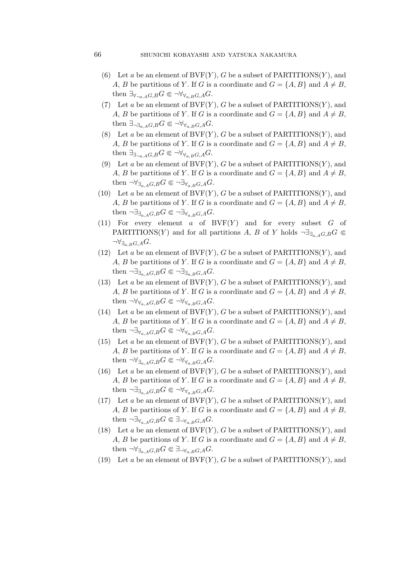- (6) Let a be an element of  $BVF(Y)$ , G be a subset of PARTITIONS $(Y)$ , and A, B be partitions of Y. If G is a coordinate and  $G = \{A, B\}$  and  $A \neq B$ , then  $\exists_{\forall_{\neg a, A}G, B} G \in \neg \forall_{\forall_{a, B}G, A} G$ .
- (7) Let a be an element of  $BVF(Y)$ , G be a subset of PARTITIONS(Y), and A, B be partitions of Y. If G is a coordinate and  $G = \{A, B\}$  and  $A \neq B$ , then  $\exists_{\neg \exists_{a,A}G,B}G \in \neg \forall_{\forall_{a,B}G,A}G.$
- (8) Let a be an element of  $BVF(Y)$ , G be a subset of PARTITIONS $(Y)$ , and A, B be partitions of Y. If G is a coordinate and  $G = \{A, B\}$  and  $A \neq B$ , then  $\exists_{\exists_{\neg a,A}G,B}G \in \neg \forall_{\forall_{a,B}G,A}G.$
- (9) Let a be an element of  $BVF(Y)$ , G be a subset of PARTITIONS(Y), and A, B be partitions of Y. If G is a coordinate and  $G = \{A, B\}$  and  $A \neq B$ , then  $\neg \forall_{\exists_{a,A}G,B} G \in \neg \exists_{\forall_{a,B}G,A} G.$
- (10) Let a be an element of  $BVF(Y)$ , G be a subset of PARTITIONS $(Y)$ , and A, B be partitions of Y. If G is a coordinate and  $G = \{A, B\}$  and  $A \neq B$ , then  $\neg \exists_{\exists_{a,A}G,B} G \in \neg \exists_{\forall_{a,B}G,A} G.$
- (11) For every element  $a$  of  $BVF(Y)$  and for every subset  $G$  of PARTITIONS(Y) and for all partitions A, B of Y holds  $\neg \exists_{\exists_{a} A G, B} G \subseteq$ *¬∀∃*a,BG,AG.
- (12) Let a be an element of  $BVF(Y)$ , G be a subset of PARTITIONS $(Y)$ , and A, B be partitions of Y. If G is a coordinate and  $G = \{A, B\}$  and  $A \neq B$ , then  $\neg \exists_{\exists_{a,A}G,B} G \in \neg \exists_{\exists_{a,B}G,A} G.$
- (13) Let a be an element of  $BVF(Y)$ , G be a subset of PARTITIONS $(Y)$ , and A, B be partitions of Y. If G is a coordinate and  $G = \{A, B\}$  and  $A \neq B$ , then  $\neg \forall_{\forall_{a,A}G,B} G \in \neg \forall_{\forall_{a,B}G,A} G.$
- (14) Let a be an element of  $BVF(Y)$ , G be a subset of PARTITIONS $(Y)$ , and A, B be partitions of Y. If G is a coordinate and  $G = \{A, B\}$  and  $A \neq B$ , then  $\neg \exists_{\forall_{a,A}G,B} G \in \neg \forall_{\forall_{a,B}G,A} G.$
- (15) Let a be an element of  $BVF(Y)$ , G be a subset of PARTITIONS(Y), and A, B be partitions of Y. If G is a coordinate and  $G = \{A, B\}$  and  $A \neq B$ , then  $\neg \forall_{\exists_{a} A G, B} G \in \neg \forall_{\forall_{a} B G, A} G.$
- (16) Let a be an element of  $BVF(Y)$ , G be a subset of PARTITIONS $(Y)$ , and A, B be partitions of Y. If G is a coordinate and  $G = \{A, B\}$  and  $A \neq B$ , then  $\neg \exists_{\exists_{a} A G, B} G \in \neg \forall_{\forall_{a} B G, A} G.$
- (17) Let a be an element of  $BVF(Y)$ , G be a subset of PARTITIONS $(Y)$ , and A, B be partitions of Y. If G is a coordinate and  $G = \{A, B\}$  and  $A \neq B$ , then  $\neg \exists_{\forall_{a} A G, B} G \in \exists_{\neg \forall_{a} B G, A} G$ .
- (18) Let a be an element of  $BVF(Y)$ , G be a subset of PARTITIONS $(Y)$ , and A, B be partitions of Y. If G is a coordinate and  $G = \{A, B\}$  and  $A \neq B$ , then  $\neg \forall_{\exists_{a} A G, B} G \in \exists_{\neg \forall_{a} B G, A} G.$
- (19) Let a be an element of  $BVF(Y)$ , G be a subset of PARTITIONS(Y), and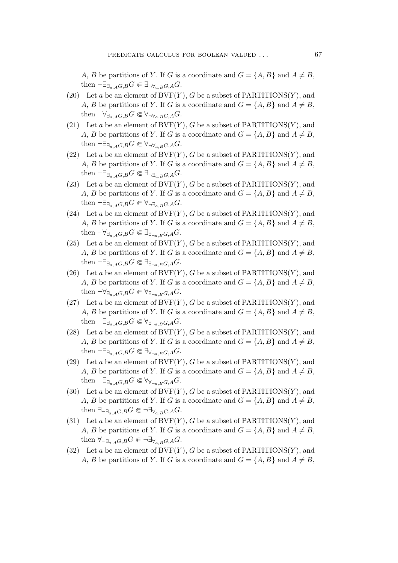A, B be partitions of Y. If G is a coordinate and  $G = \{A, B\}$  and  $A \neq B$ , then  $\neg \exists_{\exists_{\alpha} A} G$ ,  $\in \exists_{\neg \forall_{\alpha} B} G$ ,  $\in \exists_{\alpha} A$ .

- (20) Let a be an element of  $BVF(Y)$ , G be a subset of PARTITIONS(Y), and A, B be partitions of Y. If G is a coordinate and  $G = \{A, B\}$  and  $A \neq B$ , then  $\neg \forall_{\exists_{a} A G, B} G \in \forall_{\neg \forall_{a} B G, A} G$ .
- (21) Let a be an element of  $BVF(Y)$ , G be a subset of PARTITIONS(Y), and A, B be partitions of Y. If G is a coordinate and  $G = \{A, B\}$  and  $A \neq B$ , then  $\neg \exists_{\exists_{a} A G, B} G \in \forall_{\neg \forall_{a} B G, A} G$ .
- (22) Let a be an element of  $BVF(Y)$ , G be a subset of PARTITIONS(Y), and A, B be partitions of Y. If G is a coordinate and  $G = \{A, B\}$  and  $A \neq B$ , then  $\neg \exists_{\exists_{a} A G, B} G \in \exists_{\neg \exists_{a} B G, A} G$ .
- (23) Let a be an element of  $BVF(Y)$ , G be a subset of PARTITIONS $(Y)$ , and A, B be partitions of Y. If G is a coordinate and  $G = \{A, B\}$  and  $A \neq B$ , then  $\neg \exists_{\exists_{a,A}G,B} G \in \forall_{\neg \exists_{a,B}G,A} G.$
- (24) Let a be an element of  $BVF(Y)$ , G be a subset of PARTITIONS(Y), and A, B be partitions of Y. If G is a coordinate and  $G = \{A, B\}$  and  $A \neq B$ , then  $\neg \forall_{\exists_{a} A G, B} G \in \exists_{\exists_{\neg a} B G, A} G$ .
- (25) Let a be an element of  $BVF(Y)$ , G be a subset of PARTITIONS(Y), and A, B be partitions of Y. If G is a coordinate and  $G = \{A, B\}$  and  $A \neq B$ , then  $\neg \exists_{\exists_{a,A}G,B} G \in \exists_{\exists_{\neg a,B}G,A} G.$
- (26) Let a be an element of  $BVF(Y)$ , G be a subset of PARTITIONS(Y), and A, B be partitions of Y. If G is a coordinate and  $G = \{A, B\}$  and  $A \neq B$ , then  $\neg \forall \exists_{a,AG,B} G \in \forall \exists_{\neg a,BG,A} G$ .
- (27) Let a be an element of  $BVF(Y)$ , G be a subset of PARTITIONS(Y), and A, B be partitions of Y. If G is a coordinate and  $G = \{A, B\}$  and  $A \neq B$ , then  $\neg \exists_{\exists_{a,A}G,B} G \in \forall_{\exists_{\neg a,B}G,A} G$ .
- (28) Let a be an element of  $BVF(Y)$ , G be a subset of PARTITIONS(Y), and A, B be partitions of Y. If G is a coordinate and  $G = \{A, B\}$  and  $A \neq B$ , then  $\neg \exists_{\exists_{a,A} G,B} G \in \exists_{\forall_{\neg a,B} G,A} G.$
- (29) Let a be an element of  $BVF(Y)$ , G be a subset of PARTITIONS(Y), and A, B be partitions of Y. If G is a coordinate and  $G = \{A, B\}$  and  $A \neq B$ , then  $\neg \exists_{\exists_{a,A}G,B} G \in \forall_{\forall_{\neg a,B}G,A} G.$
- (30) Let a be an element of  $BVF(Y)$ , G be a subset of PARTITIONS(Y), and A, B be partitions of Y. If G is a coordinate and  $G = \{A, B\}$  and  $A \neq B$ , then  $\exists_{\neg \exists_{a,A}G,B} G \in \neg \exists_{\forall_{a,B}G,A} G.$
- (31) Let a be an element of  $BVF(Y)$ , G be a subset of PARTITIONS(Y), and A, B be partitions of Y. If G is a coordinate and  $G = \{A, B\}$  and  $A \neq B$ , then  $\forall_{\neg \exists_{a,A}G,B} G \in \neg \exists_{\forall_{a,B}G,A} G.$
- (32) Let a be an element of  $BVF(Y)$ , G be a subset of PARTITIONS $(Y)$ , and A, B be partitions of Y. If G is a coordinate and  $G = \{A, B\}$  and  $A \neq B$ ,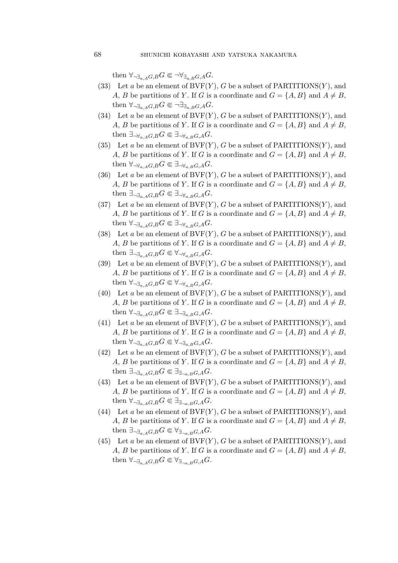then  $\forall_{\neg \exists_{a,A}G,B} G \in \neg \forall_{\exists_{a,B}G,A} G.$ 

- (33) Let a be an element of  $BVF(Y)$ , G be a subset of PARTITIONS(Y), and A, B be partitions of Y. If G is a coordinate and  $G = \{A, B\}$  and  $A \neq B$ , then  $\forall_{\neg \exists_{a,A}G,B} G \in \neg \exists_{\exists_{a,B}G,A} G.$
- (34) Let a be an element of  $BVF(Y)$ , G be a subset of PARTITIONS $(Y)$ , and A, B be partitions of Y. If G is a coordinate and  $G = \{A, B\}$  and  $A \neq B$ , then  $\exists_{\neg \forall_{a,A}G,B}G \in \exists_{\neg \forall_{a,B}G,A}G.$
- (35) Let a be an element of  $BVF(Y)$ , G be a subset of PARTITIONS $(Y)$ , and A, B be partitions of Y. If G is a coordinate and  $G = \{A, B\}$  and  $A \neq B$ , then  $\forall_{\neg \forall_{a} A G, B} G \in \exists_{\neg \forall_{a} B G, A} G$ .
- (36) Let a be an element of  $BVF(Y)$ , G be a subset of PARTITIONS $(Y)$ , and A, B be partitions of Y. If G is a coordinate and  $G = \{A, B\}$  and  $A \neq B$ , then  $\exists_{\neg \exists_{a} A G, B} G \in \exists_{\neg \forall_{a} B G, A} G$ .
- (37) Let a be an element of  $BVF(Y)$ , G be a subset of PARTITIONS $(Y)$ , and A, B be partitions of Y. If G is a coordinate and  $G = \{A, B\}$  and  $A \neq B$ , then  $\forall \neg \exists_{a \in A} G, B G \in \exists \neg \forall_{a \in B} G, A G.$
- (38) Let a be an element of  $BVF(Y)$ , G be a subset of PARTITIONS $(Y)$ , and A, B be partitions of Y. If G is a coordinate and  $G = \{A, B\}$  and  $A \neq B$ , then  $\exists_{\neg \exists_{a,A}G,B} G \in \forall_{\neg \forall_{a,B}G,A} G.$
- (39) Let a be an element of  $BVF(Y)$ , G be a subset of PARTITIONS $(Y)$ , and A, B be partitions of Y. If G is a coordinate and  $G = \{A, B\}$  and  $A \neq B$ , then  $\forall_{\neg \exists_{a \in A} G, B} G \in \forall_{\neg \forall_{a, B} G, A} G$ .
- (40) Let a be an element of  $BVF(Y)$ , G be a subset of PARTITIONS $(Y)$ , and A, B be partitions of Y. If G is a coordinate and  $G = \{A, B\}$  and  $A \neq B$ , then  $\forall_{\neg \exists_{a} \in A} G$ ,  $\in \exists_{\neg \exists_{a} \in B} G$ ,  $\in$
- (41) Let a be an element of  $BVF(Y)$ , G be a subset of PARTITIONS $(Y)$ , and A, B be partitions of Y. If G is a coordinate and  $G = \{A, B\}$  and  $A \neq B$ , then  $\forall_{\neg \exists_{a,A}G,B} G \in \forall_{\neg \exists_{a,B}G,A} G.$
- (42) Let a be an element of  $BVF(Y)$ , G be a subset of PARTITIONS $(Y)$ , and A, B be partitions of Y. If G is a coordinate and  $G = \{A, B\}$  and  $A \neq B$ , then  $\exists_{\neg \exists_{a,A}G,B} G \in \exists_{\exists_{\neg a,B}G,A} G$ .
- (43) Let a be an element of  $BVF(Y)$ , G be a subset of PARTITIONS $(Y)$ , and A, B be partitions of Y. If G is a coordinate and  $G = \{A, B\}$  and  $A \neq B$ , then  $\forall_{\neg \exists_{a, A} G, B} G \in \exists_{\exists_{\neg a, B} G, A} G$ .
- (44) Let a be an element of  $BVF(Y)$ , G be a subset of PARTITIONS $(Y)$ , and A, B be partitions of Y. If G is a coordinate and  $G = \{A, B\}$  and  $A \neq B$ , then  $\exists_{\neg \exists_{a, A} G, B} G \in \forall_{\exists_{\neg a, B} G, A} G$ .
- (45) Let a be an element of  $BVF(Y)$ , G be a subset of PARTITIONS $(Y)$ , and A, B be partitions of Y. If G is a coordinate and  $G = \{A, B\}$  and  $A \neq B$ , then  $\forall_{\neg \exists_{a \in A} G, B} G \in \forall_{\exists_{\neg a, B} G, A} G$ .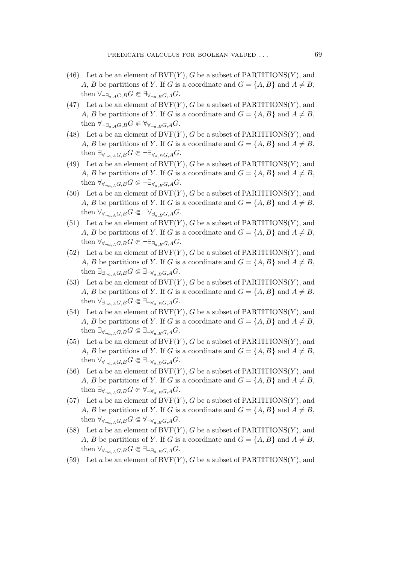- (46) Let a be an element of  $BVF(Y)$ , G be a subset of PARTITIONS $(Y)$ , and A, B be partitions of Y. If G is a coordinate and  $G = \{A, B\}$  and  $A \neq B$ , then  $\forall_{\neg \exists_{a,A}G,B} G \in \exists_{\forall_{\neg a,B}G,A} G.$
- (47) Let a be an element of  $BVF(Y)$ , G be a subset of PARTITIONS(Y), and A, B be partitions of Y. If G is a coordinate and  $G = \{A, B\}$  and  $A \neq B$ , then  $\forall \exists_{a,A} G, B G \in \forall \forall_{\exists a,B} G, A G.$
- (48) Let a be an element of  $BVF(Y)$ , G be a subset of PARTITIONS $(Y)$ , and A, B be partitions of Y. If G is a coordinate and  $G = \{A, B\}$  and  $A \neq B$ , then  $\exists_{\forall_{\neg a, A}G, B} G \in \neg \exists_{\forall_{a, B}G, A} G$ .
- (49) Let a be an element of  $BVF(Y)$ , G be a subset of PARTITIONS $(Y)$ , and A, B be partitions of Y. If G is a coordinate and  $G = \{A, B\}$  and  $A \neq B$ , then  $\forall \forall_{\neg a, A} G, B G \in \neg \exists \forall_{a, B} G, A G.$
- (50) Let a be an element of  $BVF(Y)$ , G be a subset of PARTITIONS $(Y)$ , and A, B be partitions of Y. If G is a coordinate and  $G = \{A, B\}$  and  $A \neq B$ , then  $\forall \forall_{\exists_{a,B}} G$   $\in \neg \forall_{\exists_{a,B}} G$ , AG.
- (51) Let a be an element of  $BVF(Y)$ , G be a subset of PARTITIONS $(Y)$ , and A, B be partitions of Y. If G is a coordinate and  $G = \{A, B\}$  and  $A \neq B$ , then  $\forall \forall_{\neg a, A} G, B} G \in \neg \exists_{\exists_{a, B} G, A} G.$
- (52) Let a be an element of  $BVF(Y)$ , G be a subset of PARTITIONS(Y), and A, B be partitions of Y. If G is a coordinate and  $G = \{A, B\}$  and  $A \neq B$ , then  $\exists_{\exists_{\neg a, A}G, B} G \in \exists_{\neg \forall_{a, B}G, A} G$ .
- (53) Let a be an element of  $BVF(Y)$ , G be a subset of PARTITIONS(Y), and A, B be partitions of Y. If G is a coordinate and  $G = \{A, B\}$  and  $A \neq B$ , then  $\forall_{\exists_{\neg a \in A}G, B}G \in \exists_{\neg \forall_{a \in B}G, A}G$ .
- (54) Let a be an element of  $BVF(Y)$ , G be a subset of PARTITIONS $(Y)$ , and A, B be partitions of Y. If G is a coordinate and  $G = \{A, B\}$  and  $A \neq B$ , then  $\exists_{\forall_{\neg a, A}G, B} G \in \exists_{\neg \forall_{a, B}G, A} G$ .
- (55) Let a be an element of  $BVF(Y)$ , G be a subset of PARTITIONS(Y), and A, B be partitions of Y. If G is a coordinate and  $G = \{A, B\}$  and  $A \neq B$ , then  $\forall_{\forall_{\neg a \in A} G, B} G \in \exists_{\neg \forall_{a \in B} G, A} G$ .
- (56) Let a be an element of  $BVF(Y)$ , G be a subset of PARTITIONS $(Y)$ , and A, B be partitions of Y. If G is a coordinate and  $G = \{A, B\}$  and  $A \neq B$ , then  $\exists_{\forall_{\neg a, A}G, B} G \in \forall_{\neg \forall_{a, B}G, A} G$ .
- (57) Let a be an element of  $BVF(Y)$ , G be a subset of PARTITIONS $(Y)$ , and A, B be partitions of Y. If G is a coordinate and  $G = \{A, B\}$  and  $A \neq B$ , then  $\forall_{\forall_{\neg a \in A} G, B} G \in \forall_{\neg \forall_{a \in B} G, A} G$ .
- (58) Let a be an element of  $BVF(Y)$ , G be a subset of PARTITIONS $(Y)$ , and A, B be partitions of Y. If G is a coordinate and  $G = \{A, B\}$  and  $A \neq B$ , then  $\forall \forall_{\exists a \ A} G, B G \in \exists_{\neg \exists_{a \ B} G, A} G.$
- (59) Let a be an element of  $BVF(Y)$ , G be a subset of PARTITIONS(Y), and